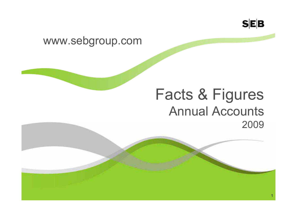

1

#### www.sebgroup.com

## Facts & Figures Annual Accounts2009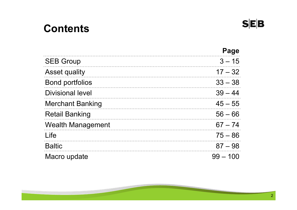### **Contents**



**SEB**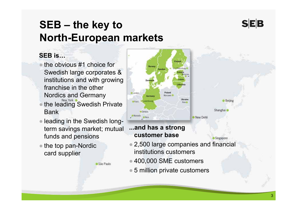### **SEB**

Beijing

Shanghai

Singapore

### **SEB – the key to North-European markets**

#### **SEB is…**

- ● the obvious #1 choice for Swedish large corporates & institutions and with growing franchise in the other Nordics and Germany
- ●the leading Swedish Private Bank
- leading in the Swedish longterm savings market; mutual funds and pensions

São Paulo

• the top pan-Nordic card supplier



#### **...and has a strong customer base**

- 2,500 large companies and financial institutions customers
- 400,000 SME customers
- 5 million private customers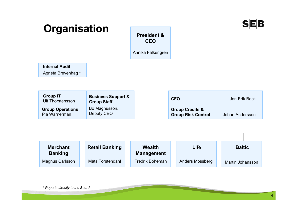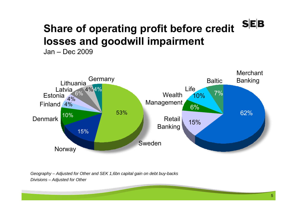#### **SEB Share of operating profit before credit losses and goodwill impairment**

Jan – Dec 2009



*Geography – Adjusted for Other and SEK 1,6bn capital gain on debt buy-backs Divisions – Adjusted for Other*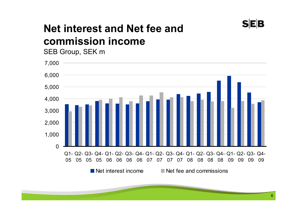

### **Net interest and Net fee and commission income**

SEB Group, SEK m

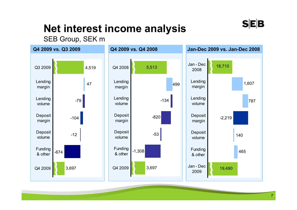

### **Net interest income analysis**

#### SEB Group, SEK m

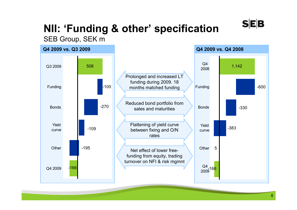## **NII: 'Funding & other' specification**

#### SEB Group, SEK m



**SEB**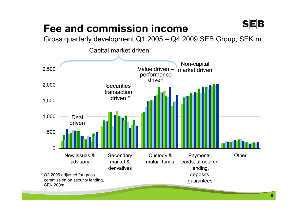### **Fee and commission income**

Gross quarterly development Q1 2005 – Q4 2009 SEB Group, SEK m



**SEB**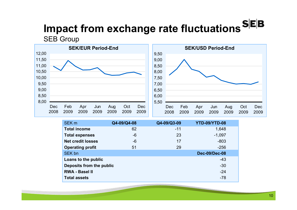# **Impact from exchange rate fluctuations**

**SEB Group** 



| SEK <sub>m</sub>         | Q4-09/Q4-08 | Q4-09/Q3-09 | YTD-09/YTD-08        |  |
|--------------------------|-------------|-------------|----------------------|--|
| <b>Total income</b>      | 62          | $-11$       | 1,648                |  |
| <b>Total expenses</b>    | $-6$        | 23          | $-1,097$             |  |
| <b>Net credit losses</b> | $-6$        | 17          | $-803$               |  |
| <b>Operating profit</b>  | 51          | 29          | $-256$               |  |
| SEK bn                   |             |             | <b>Dec-09/Dec-08</b> |  |
| Loans to the public      |             |             | $-43$                |  |
| Deposits from the public |             |             | $-30$                |  |
| <b>RWA - Basel II</b>    |             |             | $-24$                |  |
| <b>Total assets</b>      |             |             | $-78$                |  |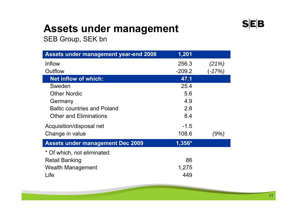### **Assets under management**

SEB Group, SEK bn

| <b>Assets under management year-end 2008</b> | 1,201    |        |
|----------------------------------------------|----------|--------|
| Inflow                                       | 256.3    | (21%)  |
| Outflow                                      | $-209.2$ | (-17%) |
| <b>Net inflow of which:</b>                  | 47.1     |        |
| Sweden                                       | 25.4     |        |
| <b>Other Nordic</b>                          | 5.6      |        |
| Germany                                      | 4.9      |        |
| <b>Baltic countries and Poland</b>           | 2.8      |        |
| <b>Other and Eliminations</b>                | 8.4      |        |
| Acquisition/disposal net                     | $-1.5$   |        |
| Change in value                              | 108.6    | (9%)   |
| <b>Assets under management Dec 2009</b>      | 1,356*   |        |
| * Of which, not eliminated:                  |          |        |
| <b>Retail Banking</b>                        | 86       |        |
| <b>Wealth Management</b>                     | 1,275    |        |
| Life                                         | 449      |        |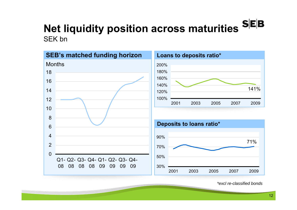### **Net liquidity position across maturities** SEK bn



#### **Loans to deposits ratio\*** 100%120%140%160%180%200%2001 2003 2005 2007 2009141%



*\*excl re-classified bonds*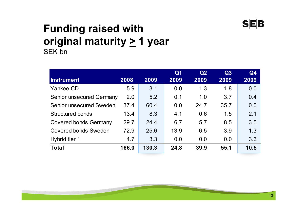

#### **Funding raised with original maturity > 1 year**  SEK bn

|                                 |       |       | Q <sub>1</sub> | Q2   | Q3   | Q <sub>4</sub> |
|---------------------------------|-------|-------|----------------|------|------|----------------|
| Instrument                      | 2008  | 2009  | 2009           | 2009 | 2009 | 2009           |
| <b>Yankee CD</b>                | 5.9   | 3.1   | 0.0            | 1.3  | 1.8  | 0.0            |
| <b>Senior unsecured Germany</b> | 2.0   | 5.2   | 0.1            | 1.0  | 3.7  | 0.4            |
| <b>Senior unsecured Sweden</b>  | 37.4  | 60.4  | 0.0            | 24.7 | 35.7 | 0.0            |
| <b>Structured bonds</b>         | 13.4  | 8.3   | 4.1            | 0.6  | 1.5  | 2.1            |
| <b>Covered bonds Germany</b>    | 29.7  | 24.4  | 6.7            | 5.7  | 8.5  | 3.5            |
| <b>Covered bonds Sweden</b>     | 72.9  | 25.6  | 13.9           | 6.5  | 3.9  | 1.3            |
| Hybrid tier 1                   | 4.7   | 3.3   | 0.0            | 0.0  | 0.0  | 3.3            |
| <b>Total</b>                    | 166.0 | 130.3 | 24.8           | 39.9 | 55.1 | 10.5           |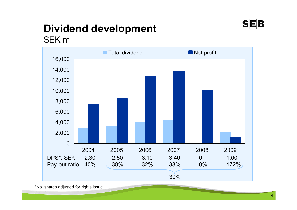## **Dividend development**



SEK m



\*No. shares adjusted for rights issue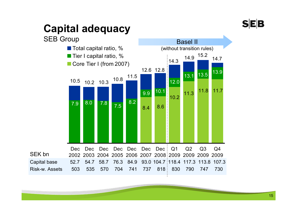## **Capital adequacy**

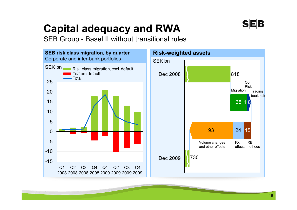### SEB

## **Capital adequacy and RWA**

SEB Group - Basel II without transitional rules

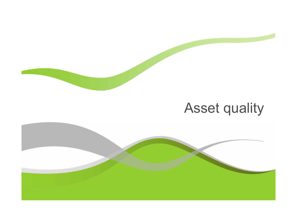

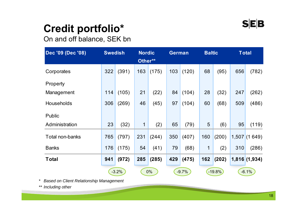## **Credit portfolio\***

On and off balance, SEK bn

| Dec '09 (Dec '08) | <b>Swedish</b> |         | <b>Nordic</b><br>Other** |       | <b>German</b> |         | <b>Baltic</b> |          |     | <b>Total</b> |
|-------------------|----------------|---------|--------------------------|-------|---------------|---------|---------------|----------|-----|--------------|
| Corporates        | 322            | (391)   | 163                      | (175) | 103           | (120)   | 68            | (95)     | 656 | (782)        |
| Property          |                |         |                          |       |               |         |               |          |     |              |
| Management        | 114            | (105)   | 21                       | (22)  | 84            | (104)   | 28            | (32)     | 247 | (262)        |
| Households        | 306            | (269)   | 46                       | (45)  | 97            | (104)   | 60            | (68)     | 509 | (486)        |
| Public            |                |         |                          |       |               |         |               |          |     |              |
| Administration    | 23             | (32)    | 1                        | (2)   | 65            | (79)    | 5             | (6)      | 95  | (119)        |
| Total non-banks   | 765            | (797)   | 231                      | (244) | 350           | (407)   | 160           | (200)    |     | 1,507(1649)  |
| <b>Banks</b>      | 176            | (175)   | 54                       | (41)  | 79            | (68)    | 1             | (2)      | 310 | (286)        |
| <b>Total</b>      | 941            | (972)   | 285                      | (285) | 429           | (475)   | 162           | (202)    |     | 1,816(1,934) |
|                   |                | $-3.2%$ |                          | 0%    |               | $-9.7%$ |               | $-19.8%$ |     | $-6.1%$      |

*\* Based on Client Relationship Management*

*\*\* Including other*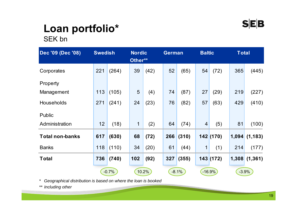## **Loan portfolio\***

SEK bn

| Dec '09 (Dec '08)      | <b>Swedish</b> |         | <b>Nordic</b><br>Other** |       | <b>German</b> |         | <b>Baltic</b>  |          | <b>Total</b> |              |
|------------------------|----------------|---------|--------------------------|-------|---------------|---------|----------------|----------|--------------|--------------|
| Corporates             | 221            | (264)   | 39                       | (42)  | 52            | (65)    | 54             | (72)     | 365          | (445)        |
| Property               |                |         |                          |       |               |         |                |          |              |              |
| Management             | 113            | (105)   | $5\phantom{1}$           | (4)   | 74            | (87)    | 27             | (29)     | 219          | (227)        |
| <b>Households</b>      | 271            | (241)   | 24                       | (23)  | 76            | (82)    | 57             | (63)     | 429          | (410)        |
| <b>Public</b>          |                |         |                          |       |               |         |                |          |              |              |
| Administration         | 12             | (18)    | $\mathbf 1$              | (2)   | 64            | (74)    | $\overline{4}$ | (5)      | 81           | (100)        |
| <b>Total non-banks</b> | 617            | (630)   | 68                       | (72)  | 266           | (310)   |                | 142(170) |              | 1,094(1,183) |
| <b>Banks</b>           | 118            | (110)   | 34                       | (20)  | 61            | (44)    | $\mathbf 1$    | (1)      | 214          | (177)        |
| <b>Total</b>           | 736            | (740)   | 102                      | (92)  | 327           | (355)   |                | 143(172) | 1,308        | (1, 361)     |
|                        |                | $-0.7%$ |                          | 10.2% |               | $-8.1%$ |                | $-16.9%$ |              | $-3.9%$      |

*\* Geographical distribution is based on where the loan is booked*

*\*\* Including other*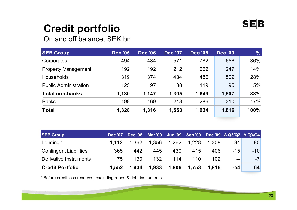### **Credit portfolio**

On and off balance, SEK bn

| <b>SEB Group</b>             | <b>Dec '05</b> | <b>Dec '06</b> | <b>Dec '07</b> | <b>Dec '08</b> | <b>Dec '09</b> | $\frac{9}{6}$ |
|------------------------------|----------------|----------------|----------------|----------------|----------------|---------------|
| Corporates                   | 494            | 484            | 571            | 782            | 656            | 36%           |
| <b>Property Management</b>   | 192            | 192            | 212            | 262            | 247            | 14%           |
| <b>Households</b>            | 319            | 374            | 434            | 486            | 509            | 28%           |
| <b>Public Administration</b> | 125            | 97             | 88             | 119            | 95             | 5%            |
| <b>Total non-banks</b>       | 1,130          | 1,147          | 1,305          | 1,649          | 1,507          | 83%           |
| <b>Banks</b>                 | 198            | 169            | 248            | 286            | 310            | 17%           |
| <b>Total</b>                 | 1,328          | 1,316          | 1,553          | 1,934          | 1,816          | 100%          |

| <b>SEB Group</b>              | <b>Dec '07</b> | <b>Dec '08</b> |             |       |       |       | Mar '09 Jun '09 Sep '09 Dec '09 ∆ Q3/Q2 ∆ Q3/Q4 |       |
|-------------------------------|----------------|----------------|-------------|-------|-------|-------|-------------------------------------------------|-------|
| Lending *                     | 1.112          | 1.362          | 1,356 1,262 |       | 1.228 | 1.308 | -34                                             | 80    |
| <b>Contingent Liabilities</b> | 365            | 442            | 445         | 430   | 415   | 406   | $-15$                                           | $-10$ |
| Derivative Instruments        | 75             | 130            | 132         | 114   | 110   | 102   | -4                                              | $-7$  |
| <b>Credit Portfolio</b>       | 1.552          | 1.934          | 1,933       | 1,806 | 1,753 | 1.816 | $-54$                                           | 64    |

\* Before credit loss reserves, excluding repos & debt instruments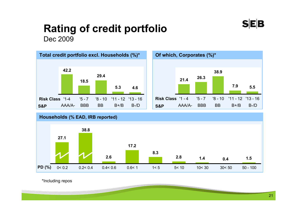## **Rating of credit portfolio**

Dec 2009







\*Including repos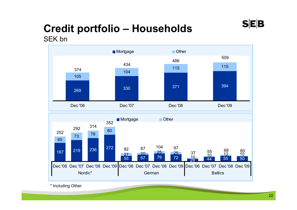#### **Credit portfolio – Households** SEK bn



\* Including Other

**SEB**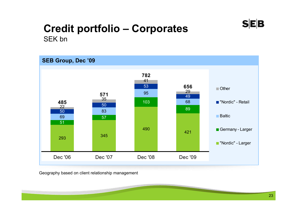### **SEB**

#### **Credit portfolio – Corporates** SEK bn



Geography based on client relationship management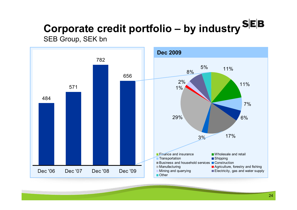### **Corporate credit portfolio – by industry** SEB Group, SEK bn

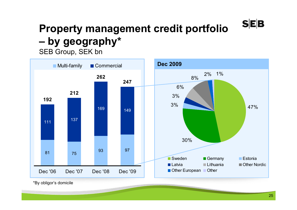#### **Property management credit portfolio –by geography\***

SEB Group, SEK bn



\*By obligor's domicile

**SEB**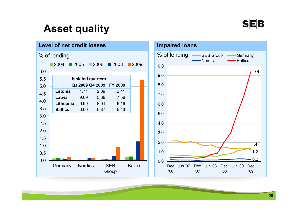#### **SEB**

### **Asset quality**



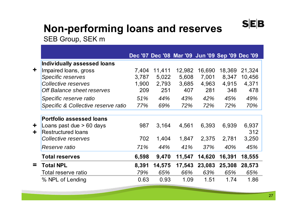### $S|E|B$

## **Non-performing loans and reserves**

SEB Group, SEK m

| Individually assessed loans         |                                 |        |        |       |                 |                                                                                                          |
|-------------------------------------|---------------------------------|--------|--------|-------|-----------------|----------------------------------------------------------------------------------------------------------|
| Impaired loans, gross               | 7,404                           | 11,411 | 12,982 |       | 18,369          | 21,324                                                                                                   |
| Specific reserves                   | 3,787                           | 5,022  | 5,608  | 7,001 | 8,347           | 10,456                                                                                                   |
| Collective reserves                 |                                 | 2,793  |        |       | 4,915           | 4,371                                                                                                    |
| Off Balance sheet reserves          | 209                             | 251    | 407    | 281   | 348             | 478                                                                                                      |
| Specific reserve ratio              | 51%                             | 44%    | 43%    | 42%   | 45%             | 49%                                                                                                      |
| Specific & Collective reserve ratio | 77%                             | 69%    | 72%    | 72%   | 72%             | 70%                                                                                                      |
|                                     |                                 |        |        |       |                 |                                                                                                          |
|                                     |                                 |        |        |       |                 |                                                                                                          |
| Loans past due $> 60$ days          | 987                             | 3,164  | 4,561  |       | 6,939           | 6,937                                                                                                    |
| <b>Restructured loans</b>           |                                 |        |        |       |                 | 312                                                                                                      |
| Collective reserves                 | 702                             | 1,404  | 1,847  |       | 2,781           | 3,250                                                                                                    |
| Reserve ratio                       | 71%                             | 44%    | 41%    | 37%   | 40%             | 45%                                                                                                      |
| <b>Total reserves</b>               |                                 | 9,470  | 11,547 |       | 16,391          | 18,555                                                                                                   |
| <b>Total NPL</b>                    | 8,391                           | 14,575 |        |       | 25,308          | 28,573                                                                                                   |
| Total reserve ratio                 | 79%                             | 65%    | 66%    | 63%   | 65%             | 65%                                                                                                      |
| % NPL of Lending                    | 0.63                            | 0.93   | 1.09   | 1.51  | 1.74            | 1.86                                                                                                     |
|                                     | <b>Portfolio assessed loans</b> | 6,598  | 1,900  |       | 3,685<br>17,543 | Dec '07 Dec '08 Mar '09 Jun '09 Sep '09 Dec '09<br>16,690<br>4,963<br>6,393<br>2,375<br>14,620<br>23,083 |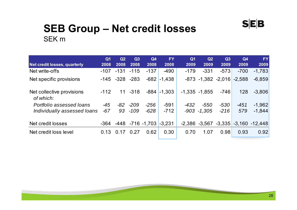#### **SEB Group – Net credit losses**  SEK m

| <b>Net credit losses, quarterly</b>    | Q <sub>1</sub><br>2008 | Q2<br>2008         | Q3<br>2008 | Q4<br>2008                      | <b>FY</b><br>2008 | Q <sub>1</sub><br>2009 | Q2<br>2009                        | Q3<br>2009 | Q <sub>4</sub><br>2009 | <b>FY</b><br>2009                             |
|----------------------------------------|------------------------|--------------------|------------|---------------------------------|-------------------|------------------------|-----------------------------------|------------|------------------------|-----------------------------------------------|
| Net write-offs                         | $-107$                 | $-131$             | $-115$     | $-137$                          | $-490$            | $-179$                 | $-331$                            | $-573$     | $-700$                 | $-1,783$                                      |
| Net specific provisions                |                        | $-145 - 328 - 283$ |            |                                 | $-682$ $-1,438$   |                        | $-873$ $-1,382$ $-2,016$ $-2,588$ |            |                        | $-6,859$                                      |
| Net collective provisions<br>of which: | $-112$                 |                    | $11 - 318$ |                                 | $-884$ $-1,303$   |                        | $-1,335 -1,855$                   | $-746$     | 128                    | $-3,806$                                      |
| Portfolio assessed loans               | $-45$                  | -82                | $-209$     | $-256$                          | $-591$            | $-432$                 | $-550$                            | $-530$     | $-451$                 | $-1,962$                                      |
| Individually assessed loans            | $-67$                  | 93                 | $-109$     | $-628$                          | $-712$            | $-903$                 | $-1.305$                          | $-216$     | 579                    | $-1,844$                                      |
| Net credit losses                      | -364                   |                    |            | $-448$ $-716$ $-1,703$ $-3,231$ |                   |                        |                                   |            |                        | $-2,386$ $-3,567$ $-3,335$ $-3,160$ $-12,448$ |
| Net credit loss level                  | 0.13                   | 0.17               | 0.27       | 0.62                            | 0.30              | 0.70                   | 1.07                              | 0.98       | 0.93                   | 0.92                                          |

 $S|E|B$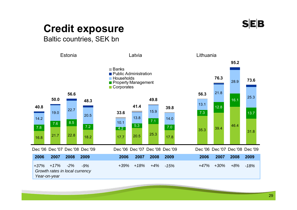

### **Credit exposure**

Baltic countries, SEK bn

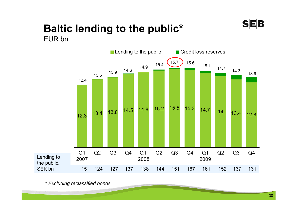### **SEB**

#### **Baltic lending to the public\*** EUR bn



*\* Excluding reclassified bonds*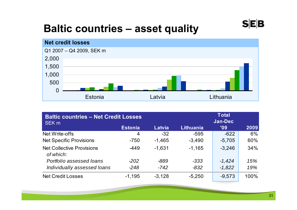### **Baltic countries – asset quality**



| <b>Baltic countries - Net Credit Losses</b><br>SEK <sub>m</sub> |                |          |                  | <b>Total</b><br><b>Jan-Dec</b> |      |  |  |
|-----------------------------------------------------------------|----------------|----------|------------------|--------------------------------|------|--|--|
|                                                                 | <b>Estonia</b> | Latvia   | <b>Lithuania</b> | '09                            | 2009 |  |  |
| Net Write-offs                                                  | 4              | $-32$    | $-595$           | $-622$                         | 6%   |  |  |
| <b>Net Specific Provisions</b>                                  | $-750$         | $-1,465$ | $-3,490$         | $-5,705$                       | 60%  |  |  |
| <b>Net Collective Provisions</b><br>of which:                   | $-449$         | $-1.631$ | $-1,165$         | $-3,246$                       | 34%  |  |  |
| Portfolio assessed loans                                        | $-202$         | -889     | $-333$           | $-1.424$                       | 15%  |  |  |
| Individually assessed loans                                     | $-248$         | $-742$   | $-832$           | $-1,822$                       | 19%  |  |  |
| <b>Net Credit Losses</b>                                        | $-1,195$       | $-3,128$ | $-5,250$         | $-9,573$                       | 100% |  |  |

**SEB**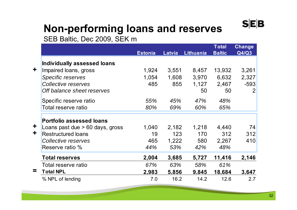### **Non-performing loans and reserves**

SEB Baltic, Dec 2009, SEK m

|            |                                   |                |        |                  | <b>Total</b>  | <b>Change</b>  |
|------------|-----------------------------------|----------------|--------|------------------|---------------|----------------|
|            |                                   | <b>Estonia</b> | Latvia | <b>Lithuania</b> | <b>Baltic</b> | Q4/Q3          |
|            | Individually assessed loans       |                |        |                  |               |                |
| ╋          | Impaired loans, gross             | 1,924          | 3,551  | 8,457            | 13,932        | 3,261          |
|            | <b>Specific reserves</b>          | 1,054          | 1,608  | 3,970            | 6,632         | 2,327          |
|            | Collective reserves               | 485            | 855    | 1,127            | 2,467         | $-593$         |
|            | Off balance sheet reserves        |                |        | 50               | 50            | $\overline{2}$ |
|            | Specific reserve ratio            | 55%            | 45%    | 47%              | 48%           |                |
|            | Total reserve ratio               | 80%            | 69%    | 60%              | 65%           |                |
|            | <b>Portfolio assessed loans</b>   |                |        |                  |               |                |
| $\ddagger$ | Loans past due $> 60$ days, gross | 1,040          | 2,182  | 1,218            | 4,440         | 74             |
| $\ddag$    | <b>Restructured loans</b>         | 19             | 123    | 170              | 312           | 312            |
|            | Collective reserves               | 465            | 1,222  | 580              | 2,267         | 410            |
|            | Reserve ratio %                   | 44%            | 53%    | 42%              | 48%           |                |
|            | <b>Total reserves</b>             | 2,004          | 3,685  | 5,727            | 11,416        | 2,146          |
|            | Total reserve ratio               | 67%            | 63%    | 58%              | 61%           |                |
| =          | <b>Total NPL</b>                  | 2,983          | 5.856  | 9,845            | 18,684        | 3,647          |
|            | % NPL of lending                  | 7.0            | 16.2   | 14.2             | 12.6          | 2.7            |

 $S|E|B$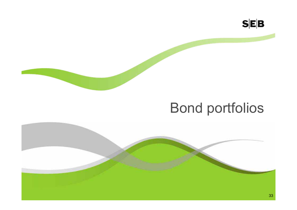

## Bond portfolios

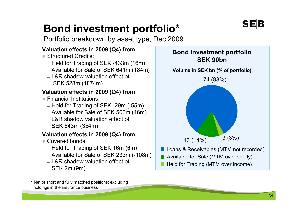## **Bond investment portfolio\***

Portfolio breakdown by asset type, Dec 2009

#### **Valuation effects in 2009 (Q4) from**

- Structured Credits:
	- Held for Trading of SEK -433m (16m)
	- Available for Sale of SEK 641m (184m)
	- L&R shadow valuation effect of SEK 528m (1874m)

#### **Valuation effects in 2009 (Q4) from**

- Financial Institutions:
	- Held for Trading of SEK -29m (-55m)
	- Available for Sale of SEK 500m (46m)
	- L&R shadow valuation effect of SEK 843m (354m)

#### **Valuation effects in 2009 (Q4) from**

- Covered bonds:
	- Held for Trading of SEK 16m (6m)
	- Available for Sale of SEK 233m (-108m)
	- L&R shadow valuation effect of SEK 2m (9m)



- Available for Sale (MTM over equity)
- Held for Trading (MTM over income)

\* Net of short and fully matched positions; excluding holdings in the insurance business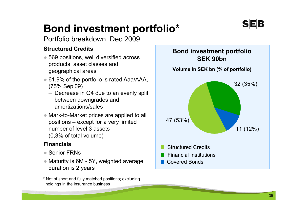## **Bond investment portfolio\***

Portfolio breakdown, Dec 2009

#### **Structured Credits**

- 569 positions, well diversified across products, asset classes and geographical areas
- 61.9% of the portfolio is rated Aaa/AAA, (75% Sep'09)
	- Decrease in Q4 due to an evenly split between downgrades and amortizations/sales
- Mark-to-Market prices are applied to all positions – except for a very limited number of level 3 assets (0,3% of total volume)

#### **Financials**

- Senior FRNs
- Maturity is 6M 5Y, weighted average duration is 2 years
- \* Net of short and fully matched positions; excluding holdings in the insurance business

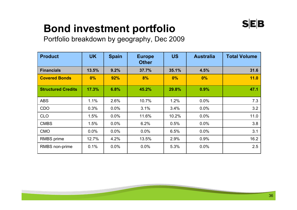### **Bond investment portfolio**

Portfolio breakdown by geography, Dec 2009

| <b>Product</b>            | <b>UK</b> | <b>Spain</b> | <b>Europe</b><br><b>Other</b> | <b>US</b> | <b>Australia</b> | <b>Total Volume</b> |
|---------------------------|-----------|--------------|-------------------------------|-----------|------------------|---------------------|
| <b>Financials</b>         | 13.5%     | 9.2%         | 37.7%                         | 35.1%     | 4.5%             | 31.6                |
| <b>Covered Bonds</b>      | 0%        | 92%          | 8%                            | 0%        | 0%               | 11.0                |
| <b>Structured Credits</b> | 17.3%     | 6.8%         | 45.2%                         | 29.8%     | 0.9%             | 47.1                |
| <b>ABS</b>                | 1.1%      | 2.6%         | 10.7%                         | 1.2%      | 0.0%             | 7.3                 |
| <b>CDO</b>                | 0.3%      | $0.0\%$      | 3.1%                          | 3.4%      | $0.0\%$          | 3.2                 |
| <b>CLO</b>                | 1.5%      | 0.0%         | 11.6%                         | 10.2%     | $0.0\%$          | 11.0                |
| <b>CMBS</b>               | 1.5%      | $0.0\%$      | 6.2%                          | 0.5%      | $0.0\%$          | 3.8                 |
| <b>CMO</b>                | 0.0%      | $0.0\%$      | 0.0%                          | 6.5%      | 0.0%             | 3.1                 |
| RMBS prime                | 12.7%     | 4.2%         | 13.5%                         | 2.9%      | 0.9%             | 16.2                |
| RMBS non-prime            | 0.1%      | $0.0\%$      | 0.0%                          | 5.3%      | 0.0%             | 2.5                 |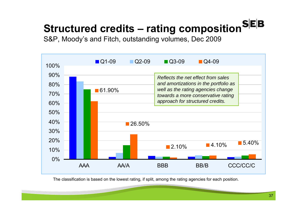# **Structured credits – rating composition**

S&P, Moody's and Fitch, outstanding volumes, Dec 2009



The classification is based on the lowest rating, if split, among the rating agencies for each position.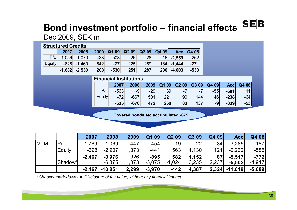# **Bond investment portfolio – financial effects SEB**

#### Dec 2009, SEK m

| <b>Structured Credits</b> |      |                   |        |        |                   |       |      |              |        |
|---------------------------|------|-------------------|--------|--------|-------------------|-------|------|--------------|--------|
|                           | 2007 | 2008              | 2009   | Q1 09  | Q <sub>2</sub> 09 | Q3 09 | Q409 | <b>Accl</b>  | Q4 08  |
| P/L                       |      | $-1.056$ $-1.070$ | $-433$ | $-503$ | 26                | 28    |      | $16$ -2,559  | $-262$ |
| <b>Equity</b>             |      | $-626$ $-1.460$   | 642    | $-27$  | 225               | 259   |      | $184$ -1,444 | $-271$ |
|                           |      | $-1,682$ $-2,530$ | 208    | $-530$ | 251               | 287   | 200  | $-4,003$     | $-533$ |

|               | <b>Financial Institutions</b> |        |       |       |                   |       |       |             |       |  |
|---------------|-------------------------------|--------|-------|-------|-------------------|-------|-------|-------------|-------|--|
|               | 2007                          | 2008   | 2009  | Q1 09 | Q <sub>2</sub> 09 | Q3 09 | Q4 09 | <b>Accl</b> | Q4 08 |  |
| P/L           | $-563$                        | -9     | $-29$ | 39    | -7                | $-7$  | $-55$ | $-601$      | 11    |  |
| <b>Equity</b> | $-72$                         | $-667$ | 501   | 221   | 90                | 144   | 46    | $-238$      | $-64$ |  |
|               | $-635$                        | $-676$ | 472   | 260   | 83                | 137   | $-9$  | $-839$      | $-53$ |  |

**+ Covered bonds etc accumulated -675**

|            |         | 2007     | 2008      | 2009   | Q1 09    | Q209     | Q3 09 | Q4 09 | <b>Accl</b>     | Q4 08    |
|------------|---------|----------|-----------|--------|----------|----------|-------|-------|-----------------|----------|
| <b>MTM</b> | P/L     | $-1.769$ | $-1.069$  | $-447$ | $-454$   | 19       | 22    | $-34$ | $-3,285$        | $-187$   |
|            | Equity  | $-698$   | $-2.907$  | 1,373  | $-441$   | 563      | 1,130 | 121   | $-2,232$        | $-585$   |
|            |         | $-2.467$ | $-3,976$  | 926    | $-895$   | 582      | 1,152 | 87    | $-5,517$        | $-772$   |
|            | Shadow* |          | $-6,875$  | 1,373  | $-3,075$ | $-1,024$ | 3,235 | 2,237 | $-5,502$        | $-4.917$ |
|            |         | $-2,467$ | $-10,851$ | 2,299  | $-3,970$ | $-442$   | 4,387 |       | $2,324$ -11,019 | $-5,689$ |

*\* Shadow mark-downs = Disclosure of fair value, without any financial impact*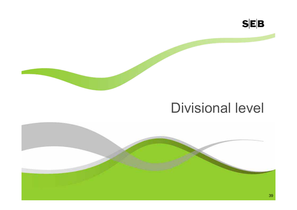

## Divisional level

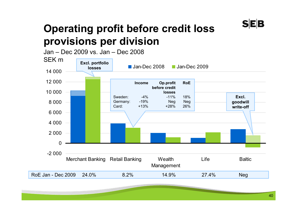

### **Operating profit before credit loss provisions per division**

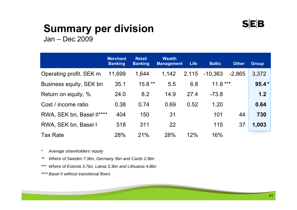#### **SEB**

## **Summary per division**

Jan – Dec 2009

|                           | <b>Merchant</b><br><b>Banking</b> | <b>Retail</b><br><b>Banking</b> | <b>Wealth</b><br><b>Management</b> | <b>Life</b> | <b>Baltic</b> | <b>Other</b> | <b>Group</b> |
|---------------------------|-----------------------------------|---------------------------------|------------------------------------|-------------|---------------|--------------|--------------|
| Operating profit, SEK m   | 11,699                            | 1,644                           | 1,142                              | 2,115       | $-10,363$     | $-2,865$     | 3,372        |
| Business equity, SEK bn   | 35.1                              | $15.8**$                        | 5.5                                | 6.8         | $11.8***$     |              | $95.4*$      |
| Return on equity, %       | 24.0                              | 8.2                             | 14.9                               | 27.4        | $-73.8$       |              | 1.2          |
| Cost / income ratio       | 0.38                              | 0.74                            | 0.69                               | 0.52        | 1.20          |              | 0.64         |
| RWA, SEK bn, Basel II**** | 404                               | 150                             | 31                                 |             | 101           | 44           | 730          |
| RWA, SEK bn, Basel I      | 518                               | 311                             | 22                                 |             | 115           | 37           | 1,003        |
| <b>Tax Rate</b>           | 28%                               | 21%                             | 28%                                | 12%         | 16%           |              |              |

*\* Average shareholders' equity*

*\*\* Where of Sweden 7.9bn, Germany 5bn and Cards 2.9bn*

*\*\*\* Where of Estonia 3.7bn, Latvia 3.3bn and Lithuania 4.8bn*

*\*\*\*\* Basel II without transitional floors*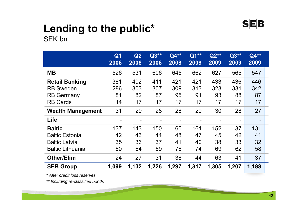

#### **Lending to the public\*** SEK bn

|                          | Q <sub>1</sub><br>2008   | Q2<br>2008 | $Q3**$<br>2008 | Q4**<br>2008 | Q1**<br>2009 | $Q2**$<br>2009           | $Q3**$<br>2009 | Q4**<br>2009             |
|--------------------------|--------------------------|------------|----------------|--------------|--------------|--------------------------|----------------|--------------------------|
| <b>MB</b>                | 526                      | 531        | 606            | 645          | 662          | 627                      | 565            | 547                      |
| <b>Retail Banking</b>    | 381                      | 402        | 411            | 421          | 421          | 433                      | 436            | 446                      |
| <b>RB Sweden</b>         | 286                      | 303        | 307            | 309          | 313          | 323                      | 331            | 342                      |
| <b>RB Germany</b>        | 81                       | 82         | 87             | 95           | 91           | 93                       | 88             | 87                       |
| <b>RB Cards</b>          | 14                       | 17         | 17             | 17           | 17           | 17                       | 17             | 17                       |
| <b>Wealth Management</b> | 31                       | 29         | 28             | 28           | 29           | 30                       | 28             | 27                       |
| Life                     | $\overline{\phantom{0}}$ |            |                |              |              | $\overline{\phantom{0}}$ | $\blacksquare$ | $\overline{\phantom{a}}$ |
| <b>Baltic</b>            | 137                      | 143        | 150            | 165          | 161          | 152                      | 137            | 131                      |
| <b>Baltic Estonia</b>    | 42                       | 43         | 44             | 48           | 47           | 45                       | 42             | 41                       |
| <b>Baltic Latvia</b>     | 35                       | 36         | 37             | 41           | 40           | 38                       | 33             | 32                       |
| <b>Baltic Lithuania</b>  | 60                       | 64         | 69             | 76           | 74           | 69                       | 62             | 58                       |
| <b>Other/Elim</b>        | 24                       | 27         | 31             | 38           | 44           | 63                       | 41             | 37                       |
| <b>SEB Group</b>         | 1,099                    | 1,132      | 1,226          | 1,297        | 1,317        | 1,305                    | 1,207          | 1,188                    |

*\* After credit loss reserves*

*\*\* Including re-classified bonds*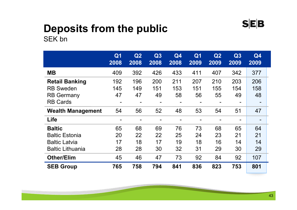# **Deposits from the public**

SEK bn

|                          | Q <sub>1</sub><br>2008   | Q2<br>2008 | Q3<br>2008               | Q4<br>2008 | Q <sub>1</sub><br>2009 | Q2<br>2009               | Q3<br>2009               | Q4<br>2009     |
|--------------------------|--------------------------|------------|--------------------------|------------|------------------------|--------------------------|--------------------------|----------------|
| <b>MB</b>                | 409                      | 392        | 426                      | 433        | 411                    | 407                      | 342                      | 377            |
| <b>Retail Banking</b>    | 192                      | 196        | 200                      | 211        | 207                    | 210                      | 203                      | 206            |
| <b>RB Sweden</b>         | 145                      | 149        | 151                      | 153        | 151                    | 155                      | 154                      | 158            |
| <b>RB Germany</b>        | 47                       | 47         | 49                       | 58         | 56                     | 55                       | 49                       | 48             |
| <b>RB Cards</b>          |                          |            | -                        |            |                        | $\overline{\phantom{a}}$ | ۰                        | -              |
| <b>Wealth Management</b> | 54                       | 56         | 52                       | 48         | 53                     | 54                       | 51                       | 47             |
| Life                     | $\overline{\phantom{0}}$ |            | $\overline{\phantom{0}}$ |            |                        |                          | $\overline{\phantom{0}}$ | $\blacksquare$ |
| <b>Baltic</b>            | 65                       | 68         | 69                       | 76         | 73                     | 68                       | 65                       | 64             |
| <b>Baltic Estonia</b>    | 20                       | 22         | 22                       | 25         | 24                     | 23                       | 21                       | 21             |
| <b>Baltic Latvia</b>     | 17                       | 18         | 17                       | 19         | 18                     | 16                       | 14                       | 14             |
| <b>Baltic Lithuania</b>  | 28                       | 28         | 30                       | 32         | 31                     | 29                       | 30                       | 29             |
| <b>Other/Elim</b>        | 45                       | 46         | 47                       | 73         | 92                     | 84                       | 92                       | 107            |
| <b>SEB Group</b>         | 765                      | 758        | 794                      | 841        | 836                    | 823                      | 753                      | 801            |

 $S|E|B$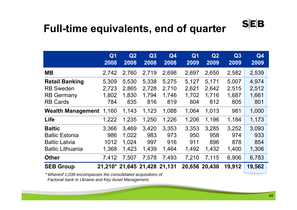#### **Full-time equivalents, end of quarter**

|                          | Q <sub>1</sub><br>2008       | Q2<br>2008 | Q3<br>2008 | Q <sub>4</sub><br>2008 | Q <sub>1</sub><br>2009 | Q2<br>2009 | Q3<br>2009 | Q <sub>4</sub><br>2009 |
|--------------------------|------------------------------|------------|------------|------------------------|------------------------|------------|------------|------------------------|
| <b>MB</b>                | 2,742                        | 2,760      | 2,719      | 2,698                  | 2,697                  | 2,650      | 2,582      | 2,539                  |
| <b>Retail Banking</b>    | 5,309                        | 5,530      | 5,338      | 5,275                  | 5,127                  | 5,171      | 5,007      | 4,974                  |
| <b>RB Sweden</b>         | 2,723                        | 2,865      | 2,728      | 2,710                  | 2,621                  | 2,642      | 2,515      | 2,512                  |
| <b>RB Germany</b>        | 1,802                        | 1,830      | 1,794      | 1,746                  | 1,702                  | 1,716      | 1,687      | 1,661                  |
| <b>RB Cards</b>          | 784                          | 835        | 816        | 819                    | 804                    | 812        | 805        | 801                    |
| <b>Wealth Management</b> | 1,160                        | 1,143      | 1,123      | 1,088                  | 1,064                  | 1,013      | 981        | 1,000                  |
| Life                     | 1,222                        | 1,235      | 1,250      | 1,226                  | 1,206                  | 1,196      | 1,184      | 1,173                  |
| <b>Baltic</b>            | 3,366                        | 3,469      | 3,420      | 3,353                  | 3,353                  | 3,285      | 3,252      | 3,093                  |
| <b>Baltic Estonia</b>    | 986                          | 1,022      | 983        | 973                    | 950                    | 958        | 974        | 933                    |
| <b>Baltic Latvia</b>     | 1012                         | 1,024      | 997        | 916                    | 911                    | 896        | 878        | 854                    |
| <b>Baltic Lithuania</b>  | 1,368                        | 1,423      | 1,439      | 1,464                  | 1,492                  | 1,432      | 1,400      | 1,306                  |
| <b>Other</b>             | 7,412                        | 7,507      | 7,578      | 7,493                  | 7,210                  | 7,115      | 6,906      | 6,783                  |
| <b>SEB Group</b>         | 21,210* 21,645 21,428 21,131 |            |            |                        | 20,656                 | 20,430     | 19,912     | 19,562                 |
|                          |                              |            |            |                        |                        |            |            |                        |

*\* Whereof 1,039 encompasses the consolidated acquisitions of Factorial bank in Ukraine and Key Asset Management.*

 $S$  $E$  $B$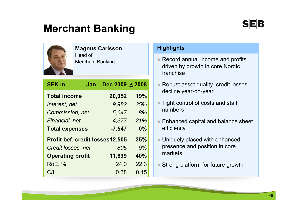### **Merchant Banking**



#### **Magnus Carlsson** Head of

Merchant Banking

| <b>SEK m</b>            | Jan - Dec 2009 $\triangle$ 2008        |       |
|-------------------------|----------------------------------------|-------|
| <b>Total income</b>     | 20,052                                 | 19%   |
| Interest, net           | 9,982                                  | 35%   |
| Commission, net         | 5,647                                  | 8%    |
| Financial, net          | 4,377                                  | 21%   |
| <b>Total expenses</b>   | $-7,547$                               | 0%    |
|                         | <b>Profit bef. credit losses12,505</b> | 35%   |
| Credit losses, net      | -805                                   | $-9%$ |
| <b>Operating profit</b> | 11,699                                 | 40%   |
| <b>RoE, %</b>           | 24.0                                   | 22.3  |
| C/I                     | 0.38                                   | 0.45  |

#### **Highlights**

- Record annual income and profits driven by growth in core Nordic franchise
- Robust asset quality, credit losses decline year-on-year
- Tight control of costs and staff numbers
- Enhanced capital and balance sheet efficiency
- Uniquely placed with enhanced presence and position in core markets
- Strong platform for future growth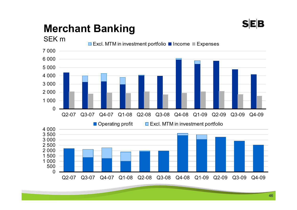

## **Merchant Banking**

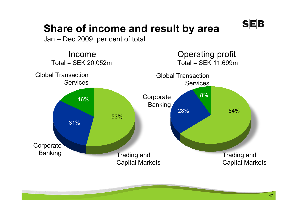

### **Share of income and result by area**

Jan – Dec 2009, per cent of total

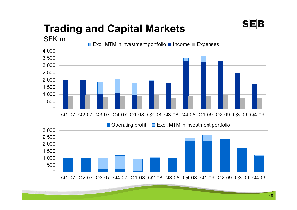## **Trading and Capital Markets**

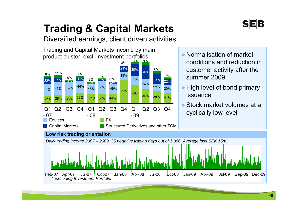## **Trading & Capital Markets**

Diversified earnings, client driven activities

Trading and Capital Markets income by main product cluster, excl. investment portfolios



- Normalisation of market conditions and reduction in customer activity after the summer 2009
- $\bullet$  High level of bond primary issuance
- ● Stock market volumes at a cyclically low level

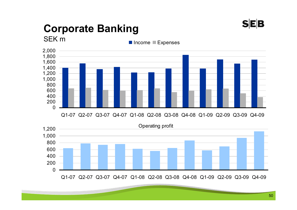

## **Corporate Banking**

SEK m

Income ■ Expenses



Q1-07 Q2-07 Q3-07 Q4-07 Q1-08 Q2-08 Q3-08 Q4-08 Q1-09 Q2-09 Q3-09 Q4-09

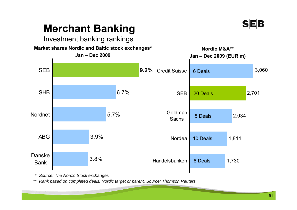

### **Merchant Banking**

#### Investment banking rankings



*\* Source: The Nordic Stock exchanges*

*\*\* Rank based on completed deals. Nordic target or parent. Source: Thomson Reuters*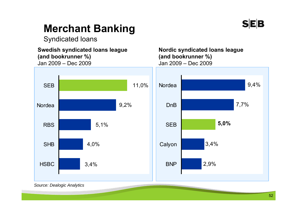

### **Merchant Banking**

Syndicated loans

**Swedish syndicated loans league (and bookrunner %)**  Jan 2009 – Dec 2009



**Nordic syndicated loans league (and bookrunner %)**  Jan 2009 – Dec 2009



*Source: Dealogic Analytics*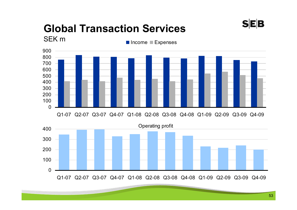#### **Global Transaction Services**  SEK m



Q1-07 Q2-07 Q3-07 Q4-07 Q1-08 Q2-08 Q3-08 Q4-08 Q1-09 Q2-09 Q3-09 Q4-09



**SEB**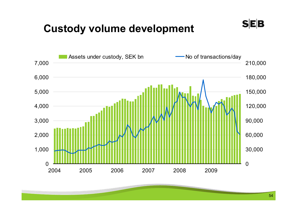#### **Custody volume development**



 $S|E|B$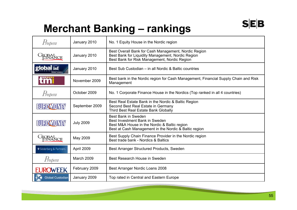### **Merchant Banking – rankings**

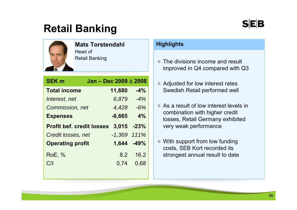### **Retail Banking**



**Mats Torstendahl**Head of

Retail Banking

|                                  | 11,680           | $-4%$                           |
|----------------------------------|------------------|---------------------------------|
|                                  | 6,879            | $-4%$                           |
| <b>Commission, net</b>           | $4,428 -6%$      |                                 |
|                                  | $-8,665$         | 4%                              |
| <b>Profit bef. credit losses</b> | 3,015            | $-23%$                          |
| Credit losses, net               | $-1,369$ $111\%$ |                                 |
| <b>Operating profit</b>          | 1,644            | $-49%$                          |
|                                  | 8.2              | 16.2                            |
|                                  | 0.74             | 0.68                            |
|                                  |                  | Jan - Dec 2009 $\triangle$ 2008 |

#### **Highlights**

- $\bullet$  The divisions income and result improved in Q4 compared with Q3
- $\bullet$  Adjusted for low interest rates Swedish Retail performed well
- $\qquad \qquad \bullet$  As a result of low interest levels in combination with higher credit losses, Retail Germany exhibited very weak performance
- $\bullet$  With support from low funding costs, SEB Kort recorded its strongest annual result to date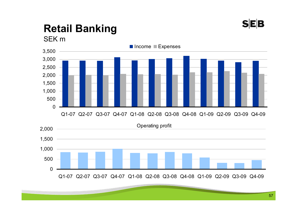

#### **Retail Banking** SEK m



Q1-07 Q2-07 Q3-07 Q4-07 Q1-08 Q2-08 Q3-08 Q4-08 Q1-09 Q2-09 Q3-09 Q4-09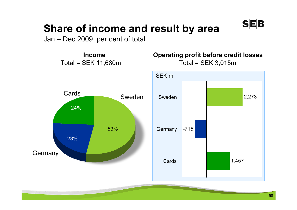

### **Share of income and result by area**

Jan – Dec 2009, per cent of total

**Income**

**Operating profit before credit losses**  Total = SEK 11,680m Total = SEK 3,015m



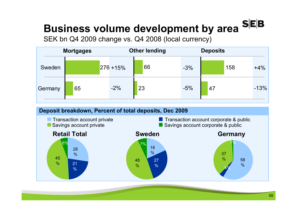#### $S$ **EB Business volume development by area**

SEK bn Q4 2009 change vs. Q4 2008 (local currency)



#### **Deposit breakdown, Percent of total deposits, Dec 2009**

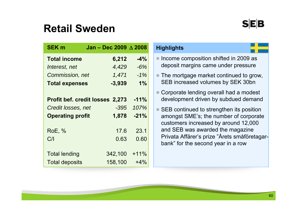#### **Retail Sweden**

| <b>SEK m</b>            | Jan - Dec 2009 A 2008                  |        |
|-------------------------|----------------------------------------|--------|
| <b>Total income</b>     | 6,212                                  | $-4%$  |
| Interest, net           | 4,429                                  | $-6%$  |
| <b>Commission, net</b>  | 1,471                                  | $-1%$  |
| <b>Total expenses</b>   | $-3,939$                               | 1%     |
|                         |                                        |        |
|                         | <b>Profit bef. credit losses 2,273</b> | $-11%$ |
| Credit losses, net      | $-395$                                 | 107%   |
| <b>Operating profit</b> | 1,878                                  | $-21%$ |
|                         |                                        |        |
| <b>RoE, %</b>           | 17.6                                   | 23.1   |
| C/                      | 0.63                                   | 0.60   |
|                         |                                        |        |
| <b>Total lending</b>    | 342,100                                | $+11%$ |
| <b>Total deposits</b>   | 158,100                                | $+4%$  |

#### **Highlights**

- Income composition shifted in 2009 as deposit margins came under pressure
- The mortgage market continued to grow, SEB increased volumes by SEK 30bn
- Corporate lending overall had a modest development driven by subdued demand
- SEB continued to strengthen its position amongst SME's; the number of corporate customers increased by around 12,000 and SEB was awarded the magazine Privata Affärer's prize "Årets småföretagarbank" for the second year in a row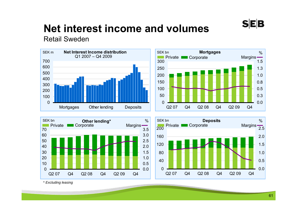

## **Net interest income and volumes**

Retail Sweden









*\* Excluding leasing*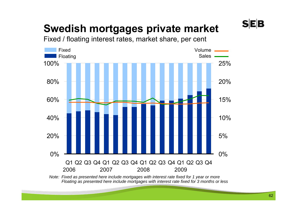## **Swedish mortgages private market**

Fixed / floating interest rates, market share, per cent



*Note: Fixed as presented here include mortgages with interest rate fixed for 1 year or more Floating as presented here include mortgages with interest rate fixed for 3 months or less* **SEB**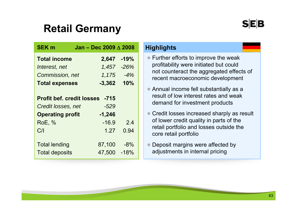### **Retail Germany**

| <b>SEK m</b>                                           | Jan - Dec 2009 $\triangle$ 2008 |                 |
|--------------------------------------------------------|---------------------------------|-----------------|
| <b>Total income</b>                                    | 2,647                           | $-19%$          |
| Interest, net                                          | 1,457                           | $-26%$          |
| Commission, net                                        | 1,175                           | $-4%$           |
| <b>Total expenses</b>                                  | $-3,362$                        | 10%             |
| <b>Profit bef. credit losses</b><br>Credit losses, net | $-715$<br>$-529$                |                 |
| <b>Operating profit</b><br><b>RoE, %</b><br>C/         | $-1,246$<br>$-16.9$<br>1.27     | 2.4<br>0.94     |
| <b>Total lending</b><br><b>Total deposits</b>          | 87,100<br>47,500                | $-8%$<br>$-18%$ |

#### **Highlights**

- Further efforts to improve the weak profitability were initiated but could not counteract the aggregated effects of recent macroeconomic development
- Annual income fell substantially as a result of low interest rates and weak demand for investment products
- Credit losses increased sharply as result of lower credit quality in parts of the retail portfolio and losses outside the core retail portfolio
- $\bullet$  Deposit margins were affected by adjustments in internal pricing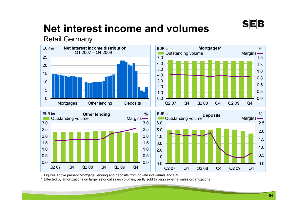

## **Net interest income and volumes**

#### Retail Germany



Figures above present Mortgage, lending and deposits from private individuals and SME

\* Effected by amortizations on large historical sales volumes, partly sold through external sales organizations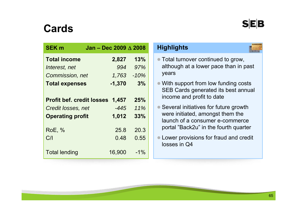#### **Cards**

| <b>SEK m</b>                     | Jan - Dec 2009 $\triangle$ 2008 |        |
|----------------------------------|---------------------------------|--------|
| <b>Total income</b>              | 2,827                           | 13%    |
| Interest, net                    | 994                             | 97%    |
| Commission, net                  | 1,763                           | $-10%$ |
| <b>Total expenses</b>            | $-1,370$                        | 3%     |
|                                  |                                 |        |
| <b>Profit bef. credit losses</b> | 1,457                           | 25%    |
| Credit losses, net               | -445                            | 11%    |
| <b>Operating profit</b>          | 1,012                           | 33%    |
|                                  |                                 |        |
| <b>RoE, %</b>                    | 25.8                            | 20.3   |
| C/                               | 0.48                            | 0.55   |
| <b>Total lending</b>             | 16,900                          | $-1\%$ |
|                                  |                                 |        |

#### **Highlights**

. .

- Total turnover continued to grow, although at a lower pace than in past years
- With support from low funding costs SEB Cards generated its best annual income and profit to date
- Several initiatives for future growth were initiated, amongst them the launch of a consumer e-commerce portal "Back2u" in the fourth quarter
- Lower provisions for fraud and credit losses in Q4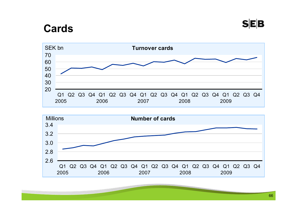#### **Cards**



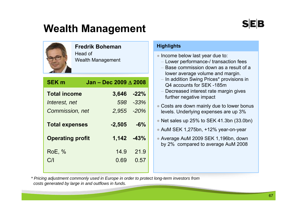### **Wealth Management**

#### **Fredrik Boheman**

Head of Wealth Management

| <b>SEK m</b>            | Jan - Dec 2009 $\wedge$ 2008 |           |
|-------------------------|------------------------------|-----------|
| <b>Total income</b>     | 3,646                        | $-22%$    |
| Interest, net           |                              | 598 - 33% |
| Commission, net         | 2,955                        | $-20%$    |
| <b>Total expenses</b>   | $-2,505$                     | $-6%$     |
| <b>Operating profit</b> | $1,142 -43%$                 |           |
| <b>RoE, %</b>           | 14.9                         | 21.9      |
| C/                      | 0.69                         | 0.57      |

#### **Highlights**

| Income below last year due to:<br>- Lower performance-/ transaction fees<br>Base commission down as a result of a<br>lower average volume and margin.<br>- In addition Swing Prices* provisions in<br>Q4 accounts for SEK-185m<br>- Decreased interest rate margin gives<br>further negative impact |
|-----------------------------------------------------------------------------------------------------------------------------------------------------------------------------------------------------------------------------------------------------------------------------------------------------|
| • Costs are down mainly due to lower bonus<br>levels. Underlying expenses are up 3%                                                                                                                                                                                                                 |
| • Net sales up 25% to SEK 41.3bn $(33.0$ bn)                                                                                                                                                                                                                                                        |
| • AuM SEK 1,275bn, +12% year-on-year                                                                                                                                                                                                                                                                |
| • Average AuM 2009 SEK 1,196bn, down<br>by 2% compared to average AuM 2008                                                                                                                                                                                                                          |
|                                                                                                                                                                                                                                                                                                     |

*\* Pricing adjustment commonly used in Europe in order to protect long-term investors from costs generated by large in and outflows in funds.*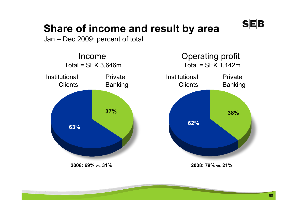

### **Share of income and result by area**

Jan – Dec 2009; percent of total

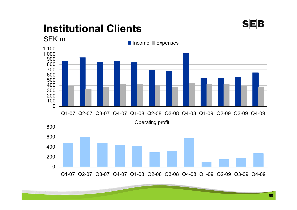### **Institutional Clients**

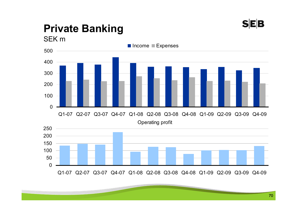

# **Private Banking**

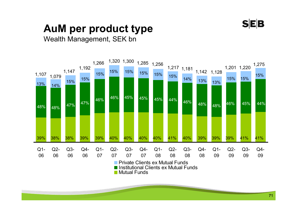

### **AuM per product type**

#### Wealth Management, SEK bn



Institutional Clients ex Mutual Funds

Mutual Funds $\mathbb{R}^n$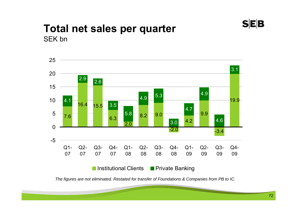

#### **Total net sales per quarter** SEK bn



*The figures are not eliminated. Restated for transfer of Foundations & Companies from PB to IC.*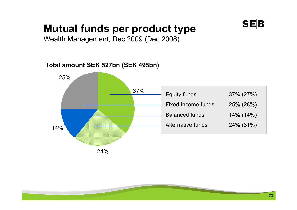### **SEB**

# **Mutual funds per product type**

Wealth Management, Dec 2009 (Dec 2008)

#### **Total amount SEK 527bn (SEK 495bn)**

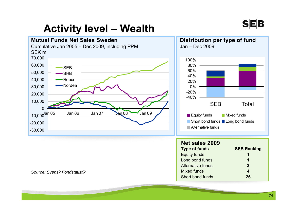

# **Activity level – Wealth**



#### *Source: Svensk Fondstatistik*



| <b>Net sales 2009</b> |                    |
|-----------------------|--------------------|
| <b>Type of funds</b>  | <b>SEB Ranking</b> |
| <b>Equity funds</b>   | 1                  |
| Long bond funds       | 1                  |
| Alternative funds     | 3                  |
| <b>Mixed funds</b>    | 4                  |
| Short bond funds      | 26                 |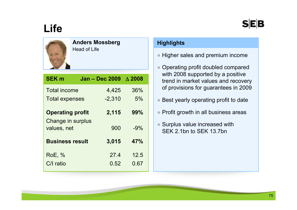### SEB

# **Life**



#### **Anders Mossberg** Head of Life

| <b>SEK m</b>                                 | <b>Jan - Dec 2009</b> | $\wedge$ 2008 |
|----------------------------------------------|-----------------------|---------------|
| <b>Total income</b>                          | 4,425                 | 36%           |
| <b>Total expenses</b>                        | $-2,310$              | 5%            |
| <b>Operating profit</b><br>Change in surplus | 2,115                 | 99%           |
| values, net                                  | 900                   | $-9%$         |
| <b>Business result</b>                       | 3,015                 | 47%           |
| <b>RoE, %</b>                                | 27.4                  | 12.5          |
| C/I ratio                                    | 0.52                  | 0.67          |
|                                              |                       |               |

#### **Highlights**

- Higher sales and premium income
- ● Operating profit doubled compared with 2008 supported by a positive trend in market values and recovery of provisions for guarantees in 2009
- Best yearly operating profit to date
- Profit growth in all business areas
- Surplus value increased with SEK 2.1bn to SEK 13.7bn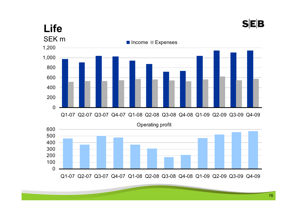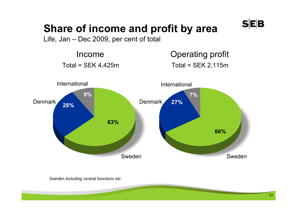# **Share of income and profit by area**

Life, Jan – Dec 2009, per cent of total

Income $Total = SEK 4,425m$  Total = SEK 2,115m

Operating profit



**SEB** 

*Sweden including central functions etc*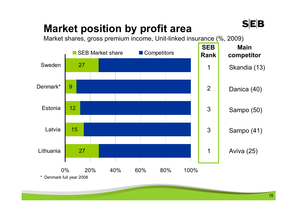# **Market position by profit area**

Market shares, gross premium income, Unit-linked insurance (%, 2009)



**SEB**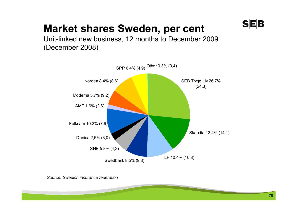### **SEB**

### **Market shares Sweden, per cent**

Unit-linked new business, 12 months to December 2009 (December 2008)



*Source: Swedish insurance federation*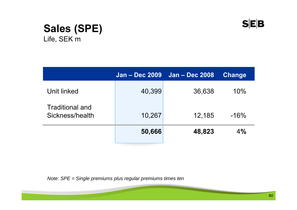

#### **Sales (SPE)**  Life, SEK m

|                                    | <b>Jan - Dec 2009</b> | <b>Jan - Dec 2008</b> | <b>Change</b> |
|------------------------------------|-----------------------|-----------------------|---------------|
| Unit linked                        | 40,399                | 36,638                | 10%           |
| Traditional and<br>Sickness/health | 10,267                | 12,185                | $-16%$        |
|                                    | 50,666                | 48,823                | 4%            |

*Note: SPE = Single premiums plus regular premiums times ten*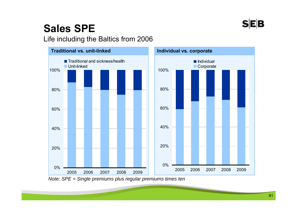

# **Sales SPE**

#### Life including the Baltics from 2006



*Note: SPE = Single premiums plus regular premiums times ten*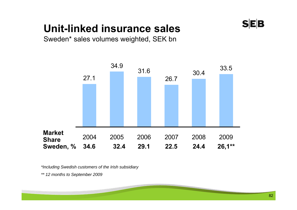# **Unit-linked insurance sales**



Sweden\* sales volumes weighted, SEK bn



*\*Including Swedish customers of the Irish subsidiary*

*\*\* 12 months to September 2009*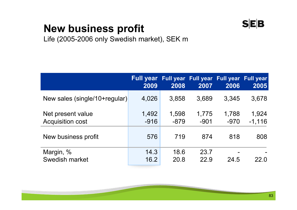### $S|E|B$

# **New business profit**

Life (2005-2006 only Swedish market), SEK m

|                                              | Full year Full year Full year Full year Full year<br>2009 | 2008            | 2007            | 2006            | 2005              |
|----------------------------------------------|-----------------------------------------------------------|-----------------|-----------------|-----------------|-------------------|
| New sales (single/10+regular)                | 4,026                                                     | 3,858           | 3,689           | 3,345           | 3,678             |
| Net present value<br><b>Acquisition cost</b> | 1,492<br>$-916$                                           | 1,598<br>$-879$ | 1,775<br>$-901$ | 1,788<br>$-970$ | 1,924<br>$-1,116$ |
| New business profit                          | 576                                                       | 719             | 874             | 818             | 808               |
| Margin, %<br>Swedish market                  | 14.3<br>16.2                                              | 18.6<br>20.8    | 23.7<br>22.9    | 24.5            | 22.0              |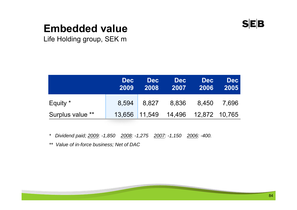

### **Embedded value**

Life Holding group, SEK m

|                  | <b>Dec</b><br>2009 | <b>Dec</b><br>2008 | <b>Dec</b><br>2007                 | <b>Dec</b><br>2006 | <b>Dec</b><br>2005 |
|------------------|--------------------|--------------------|------------------------------------|--------------------|--------------------|
| Equity *         | 8,594              | 8,827              |                                    | 8,836 8,450        | 7.696              |
| Surplus value ** |                    |                    | 13,656 11,549 14,496 12,872 10,765 |                    |                    |

*\* Dividend paid; 2009: -1,850 2008: -1,275 2007: -1,150 2006: -400.*

*\*\* Value of in-force business; Net of DAC*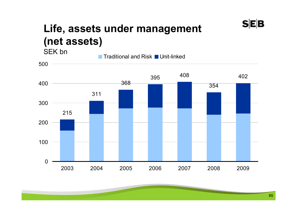#### **Life, assets under management (net assets)** SEK bn

 <sup>408</sup> 2004 2005 2006 2007 2008 2009

Traditional and Risk ■ Unit-linked

**SEB**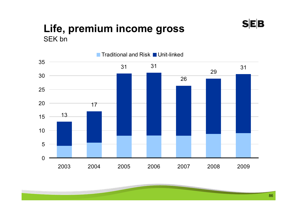#### **Life, premium income gross** SEK bn



 $S|E|B$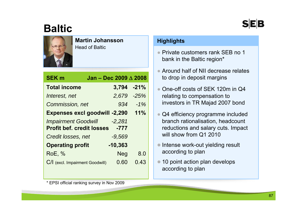### **Baltic**



#### **Martin Johansson**Head of Baltic

| Jan - Dec 2009 $\triangle$ 2008                        |            |
|--------------------------------------------------------|------------|
|                                                        | 3,794 -21% |
|                                                        | 2,679 -25% |
|                                                        | $-1%$      |
| <b>Expenses excl goodwill -2,290</b>                   | $11\%$     |
| $-2,281$<br><b>Profit bef. credit losses</b><br>$-777$ |            |
| $-9,569$                                               |            |
| $-10,363$                                              |            |
| <b>Neg</b>                                             | 8.0        |
| 0.60                                                   | 0.43       |
|                                                        | 934        |

#### **Highlights**

- Private customers rank SEB no 1 bank in the Baltic region\*
- Around half of NII decrease relates to drop in deposit margins
- ● One-off costs of SEK 120m in Q4 relating to compensation to investors in TR Majad 2007 bond
- ● Q4 efficiency programme included branch rationalisation, headcount reductions and salary cuts. Impact will show from Q1 2010
- Intense work-out yielding result according to plan
- 10 point action plan develops according to plan

\* EPSI official ranking survey in Nov 2009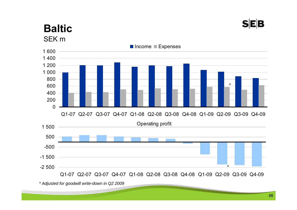#### **SEB**

#### **Baltic**SEK m



*<sup>\*</sup> Adjusted for goodwill write-down in Q2 2009*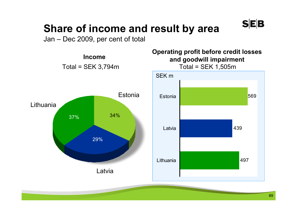

### **Share of income and result by area**

Jan – Dec 2009, per cent of total

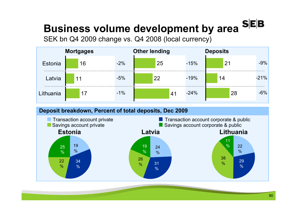#### $S|E|B$ **Business volume development by area**

SEK bn Q4 2009 change vs. Q4 2008 (local currency)



#### **Deposit breakdown, Percent of total deposits, Dec 2009**

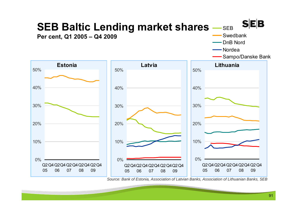

*Source: Bank of Estonia, Association of Latvian Banks, Association of Lithuanian Banks, SEB*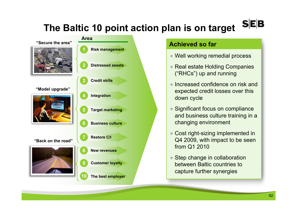#### **SEB The Baltic 10 point action plan is on target**



#### **Achieved so far**

- Well working remedial process
- Real estate Holding Companies ("RHCs") up and running
- Increased confidence on risk and expected credit losses over this down cycle
- Significant focus on compliance and business culture training in a changing environment
- Cost right-sizing implemented in Q4 2009, with impact to be seen from Q1 2010
- Step change in collaboration between Baltic countries to capture further synergies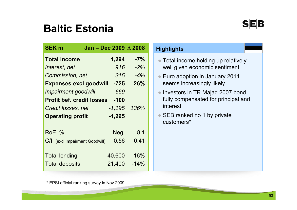### **Baltic Estonia**

| <b>SEK m</b>                     | Jan - Dec 2009 $\triangle$ 2008 |          |        |
|----------------------------------|---------------------------------|----------|--------|
| <b>Total income</b>              |                                 | 1,294    | $-7%$  |
| Interest, net                    |                                 | 916      | $-2\%$ |
| Commission, net                  |                                 | 315      | $-4%$  |
| <b>Expenses excl goodwill</b>    |                                 | $-725$   | 26%    |
| <b>Impairment goodwill</b>       |                                 | -669     |        |
| <b>Profit bef. credit losses</b> |                                 | $-100$   |        |
| Credit losses, net               |                                 | $-1,195$ | 136%   |
| <b>Operating profit</b>          |                                 | $-1,295$ |        |
| <b>RoE, %</b>                    |                                 | Neg.     | 8.1    |
| C/I (excl Impairment Goodwill)   |                                 | 0.56     | 0.41   |
| <b>Total lending</b>             |                                 | 40,600   | $-16%$ |
| <b>Total deposits</b>            |                                 | 21,400   | $-14%$ |

#### **Highlights**

- Total income holding up relatively well given economic sentiment
- Euro adoption in January 2011 seems increasingly likely
- $\bullet$  Investors in TR Majad 2007 bond fully compensated for principal and interest
- SEB ranked no 1 by private customers\*

\* EPSI official ranking survey in Nov 2009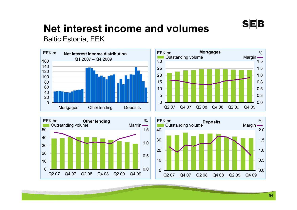

# **Net interest income and volumes**

Baltic Estonia, EEK







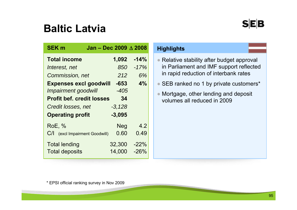### **Baltic Latvia**

| <b>SEK m</b>                     | Jan - Dec 2009 $\triangle$ 2008 |         |
|----------------------------------|---------------------------------|---------|
| <b>Total income</b>              | 1,092                           | $-14%$  |
| Interest, net                    | 850                             | $-17%$  |
| Commission, net                  | 212                             | 6%      |
| <b>Expenses excl goodwill</b>    | $-653$                          | 4%      |
| <b>Impairment goodwill</b>       | -405                            |         |
| <b>Profit bef. credit losses</b> | 34                              |         |
| Credit losses, net               | $-3,128$                        |         |
| <b>Operating profit</b>          | $-3,095$                        |         |
| <b>RoE, %</b>                    | <b>Neg</b>                      | 4.2     |
| C/<br>(excl Impairment Goodwill) | 0.60                            | 0.49    |
| <b>Total lending</b>             | 32,300                          | $-22%$  |
| <b>Total deposits</b>            | 14,000                          | $-26\%$ |

#### **Highlights**

- Relative stability after budget approval in Parliament and IMF support reflected in rapid reduction of interbank rates
- SEB ranked no 1 by private customers\*
- Mortgage, other lending and deposit volumes all reduced in 2009

\* EPSI official ranking survey in Nov 2009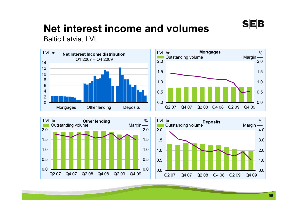

# **Net interest income and volumes**

Baltic Latvia, LVL





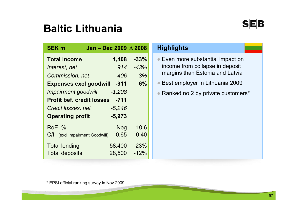### **Baltic Lithuania**

**SEK m**

**Total income**

|              | tic Lithuania                   |        |                                   |
|--------------|---------------------------------|--------|-----------------------------------|
| m            | Jan - Dec 2009 $\triangle$ 2008 |        | <b>Highlights</b>                 |
| income       | 1,408                           | $-33%$ | • Even more substantial impact on |
| est, net     | 914                             | $-43%$ | income from collapse in deposit   |
| mission, net | 406                             | $-3%$  | margins than Estonia and Latvia   |

- Best employer in Lithuania 2009
- Ranked no 2 by private customers\*

| Interest, net                    | 914        | $-43%$ |
|----------------------------------|------------|--------|
| Commission, net                  | 406        | $-3%$  |
| <b>Expenses excl goodwill</b>    | $-911$     | 6%     |
| <b>Impairment goodwill</b>       | $-1,208$   |        |
| <b>Profit bef. credit losses</b> | $-711$     |        |
| Credit losses, net               | $-5,246$   |        |
| <b>Operating profit</b>          | $-5,973$   |        |
| <b>RoE, %</b>                    | <b>Neg</b> | 10.6   |
| C/<br>(excl Impairment Goodwill) | 0.65       | 0.40   |
|                                  |            |        |
| <b>Total lending</b>             | 58,400     | $-23%$ |
| <b>Total deposits</b>            | 28,500     | $-12%$ |

\* EPSI official ranking survey in Nov 2009

 $S$  $E$  $B$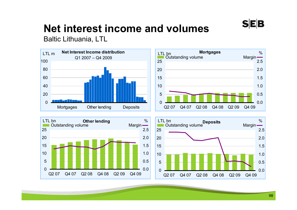

# **Net interest income and volumes**

Baltic Lithuania, LTL





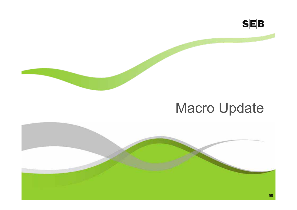

# Macro Update